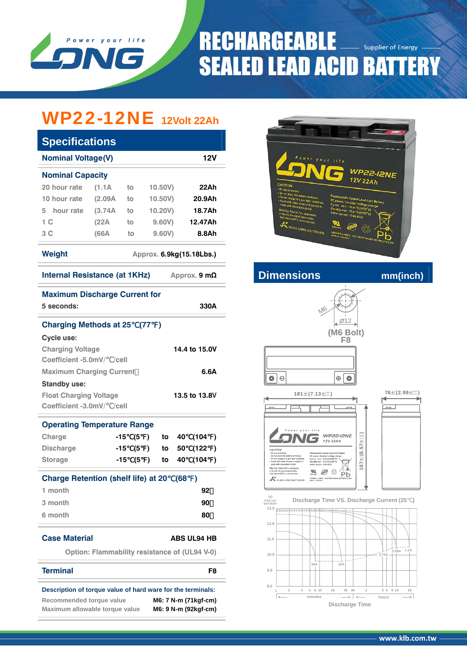

# **RECHARGEABLE** Supplier of Energy **SEALED LEAD ACID BATTERY**

### WP22-12NE **12Volt 22Ah**

|                                                      |               |                  |       |         | <b>Specifications</b>                                      |
|------------------------------------------------------|---------------|------------------|-------|---------|------------------------------------------------------------|
| <b>12V</b>                                           |               |                  |       |         | <b>Nominal Voltage(V)</b>                                  |
|                                                      |               |                  |       |         | <b>Nominal Capacity</b>                                    |
| 22Ah                                                 | 10.50V        |                  | to    | (1.1A)  | 20 hour rate                                               |
| 20.9Ah                                               | 10.50V)       |                  | to    | (2.09A) | 10 hour rate                                               |
| 18.7Ah                                               | 10.20V)       |                  | to    | (3.74A) | hour rate                                                  |
| 12.47Ah                                              | 9.60V)        |                  | to    | (22A)   | 1 C                                                        |
| 8.8Ah                                                | 9.60V)        |                  | to    | (66A    | 3C                                                         |
| Approx. 6.9kg(15.18Lbs.)                             |               |                  |       |         | Weight                                                     |
| Approx. 9 $m\Omega$                                  |               |                  |       |         | Internal Resistance (at 1KHz)                              |
|                                                      |               |                  |       |         | <b>Maximum Discharge Current for</b>                       |
| 330A                                                 |               |                  |       |         | 5 seconds:                                                 |
|                                                      | $\rightarrow$ | (77              |       |         | <b>Charging Methods at 25</b>                              |
|                                                      |               |                  |       |         | Cycle use:                                                 |
| 14.4 to 15.0V                                        |               |                  |       |         | <b>Charging Voltage</b>                                    |
|                                                      |               |                  |       |         |                                                            |
|                                                      |               |                  |       |         | Coefficient -5.0mV/ /cell                                  |
| 6.6A                                                 |               |                  |       |         | <b>Maximum Charging Current</b>                            |
|                                                      |               |                  |       |         | <b>Standby use:</b>                                        |
| 13.5 to 13.8V                                        |               |                  |       |         | <b>Float Charging Voltage</b><br>Coefficient -3.0mV/ /cell |
|                                                      |               |                  |       |         | <b>Operating Temperature Range</b>                         |
| 40<br>(104<br>$\lambda$                              | to            | (5)              | -15   |         | Charge                                                     |
| (122<br>$\mathcal{E}$                                | 50<br>to      | (5<br>$\lambda$  | -15   |         | <b>Discharge</b>                                           |
| (104<br>$\lambda$                                    | 40<br>to      | (5)<br>$\lambda$ | $-15$ |         | <b>Storage</b>                                             |
| $\mathbf{)}$                                         | (68)          |                  |       |         | <b>Charge Retention (shelf life) at 20</b>                 |
| 92                                                   |               |                  |       |         | 1 month                                                    |
| 90                                                   |               |                  |       |         | 3 month                                                    |
| 80                                                   |               |                  |       |         | 6 month                                                    |
| <b>ABS UL94 HB</b>                                   |               |                  |       |         | <b>Case Material</b>                                       |
| <b>Option: Flammability resistance of (UL94 V-0)</b> |               |                  |       |         |                                                            |





**Internal Resistance (AD** internal points mm(inch)